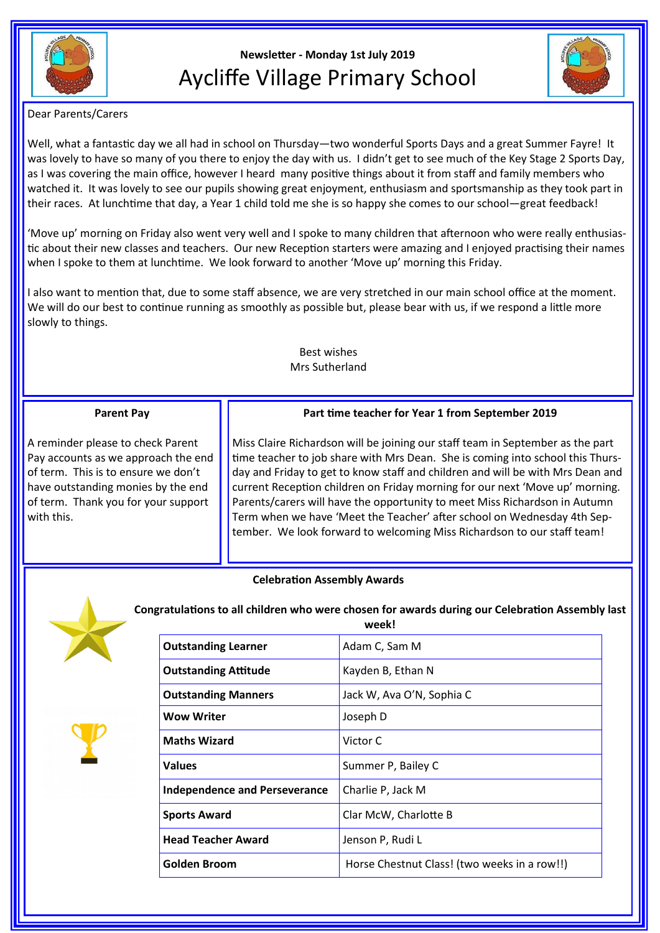

# **Newsletter - Monday 1st July 2019** Aycliffe Village Primary School



Dear Parents/Carers

Well, what a fantastic day we all had in school on Thursday—two wonderful Sports Days and a great Summer Fayre! It was lovely to have so many of you there to enjoy the day with us. I didn't get to see much of the Key Stage 2 Sports Day, as I was covering the main office, however I heard many positive things about it from staff and family members who watched it. It was lovely to see our pupils showing great enjoyment, enthusiasm and sportsmanship as they took part in their races. At lunchtime that day, a Year 1 child told me she is so happy she comes to our school—great feedback!

'Move up' morning on Friday also went very well and I spoke to many children that afternoon who were really enthusiastic about their new classes and teachers. Our new Reception starters were amazing and I enjoyed practising their names when I spoke to them at lunchtime. We look forward to another 'Move up' morning this Friday.

I also want to mention that, due to some staff absence, we are very stretched in our main school office at the moment. We will do our best to continue running as smoothly as possible but, please bear with us, if we respond a little more slowly to things.

# Best wishes Mrs Sutherland

## **Parent Pay**

A reminder please to check Parent Pay accounts as we approach the end of term. This is to ensure we don't have outstanding monies by the end of term. Thank you for your support with this.

**Part time teacher for Year 1 from September 2019**

Miss Claire Richardson will be joining our staff team in September as the part time teacher to job share with Mrs Dean. She is coming into school this Thursday and Friday to get to know staff and children and will be with Mrs Dean and current Reception children on Friday morning for our next 'Move up' morning. Parents/carers will have the opportunity to meet Miss Richardson in Autumn Term when we have 'Meet the Teacher' after school on Wednesday 4th September. We look forward to welcoming Miss Richardson to our staff team!

# **Celebration Assembly Awards**



**Congratulations to all children who were chosen for awards during our Celebration Assembly last week!**

| <b>Outstanding Learner</b>           | Adam C, Sam M                                |
|--------------------------------------|----------------------------------------------|
| <b>Outstanding Attitude</b>          | Kayden B, Ethan N                            |
| <b>Outstanding Manners</b>           | Jack W, Ava O'N, Sophia C                    |
| <b>Wow Writer</b>                    | Joseph D                                     |
| <b>Maths Wizard</b>                  | Victor C                                     |
| <b>Values</b>                        | Summer P, Bailey C                           |
| <b>Independence and Perseverance</b> | Charlie P, Jack M                            |
| <b>Sports Award</b>                  | Clar McW, Charlotte B                        |
| <b>Head Teacher Award</b>            | Jenson P, Rudi L                             |
| <b>Golden Broom</b>                  | Horse Chestnut Class! (two weeks in a row!!) |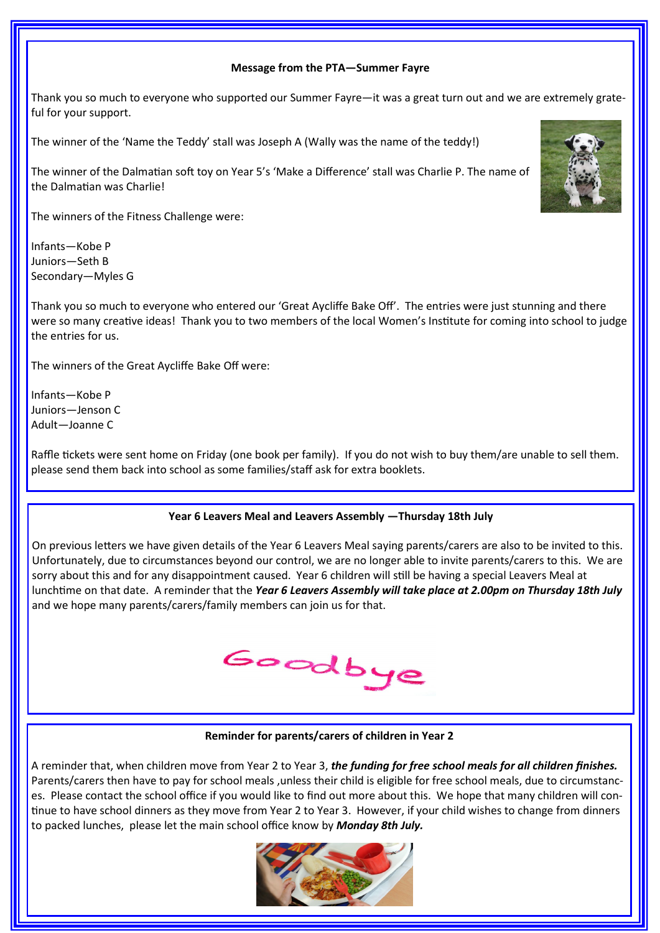## **Message from the PTA—Summer Fayre**

Thank you so much to everyone who supported our Summer Fayre—it was a great turn out and we are extremely grateful for your support.

The winner of the 'Name the Teddy' stall was Joseph A (Wally was the name of the teddy!)

The winner of the Dalmatian soft toy on Year 5's 'Make a Difference' stall was Charlie P. The name of the Dalmatian was Charlie!

The winners of the Fitness Challenge were:

Infants—Kobe P Juniors—Seth B Secondary—Myles G

Thank you so much to everyone who entered our 'Great Aycliffe Bake Off'. The entries were just stunning and there were so many creative ideas! Thank you to two members of the local Women's Institute for coming into school to judge the entries for us.

The winners of the Great Aycliffe Bake Off were:

Infants—Kobe P Juniors—Jenson C Adult—Joanne C

Raffle tickets were sent home on Friday (one book per family). If you do not wish to buy them/are unable to sell them. please send them back into school as some families/staff ask for extra booklets.

#### **Year 6 Leavers Meal and Leavers Assembly —Thursday 18th July**

On previous letters we have given details of the Year 6 Leavers Meal saying parents/carers are also to be invited to this. Unfortunately, due to circumstances beyond our control, we are no longer able to invite parents/carers to this. We are sorry about this and for any disappointment caused. Year 6 children will still be having a special Leavers Meal at lunchtime on that date. A reminder that the *Year 6 Leavers Assembly will take place at 2.00pm on Thursday 18th July*  and we hope many parents/carers/family members can join us for that.



**Reminder for parents/carers of children in Year 2**

A reminder that, when children move from Year 2 to Year 3, *the funding for free school meals for all children finishes.*  Parents/carers then have to pay for school meals ,unless their child is eligible for free school meals, due to circumstances. Please contact the school office if you would like to find out more about this. We hope that many children will continue to have school dinners as they move from Year 2 to Year 3. However, if your child wishes to change from dinners to packed lunches, please let the main school office know by *Monday 8th July.*